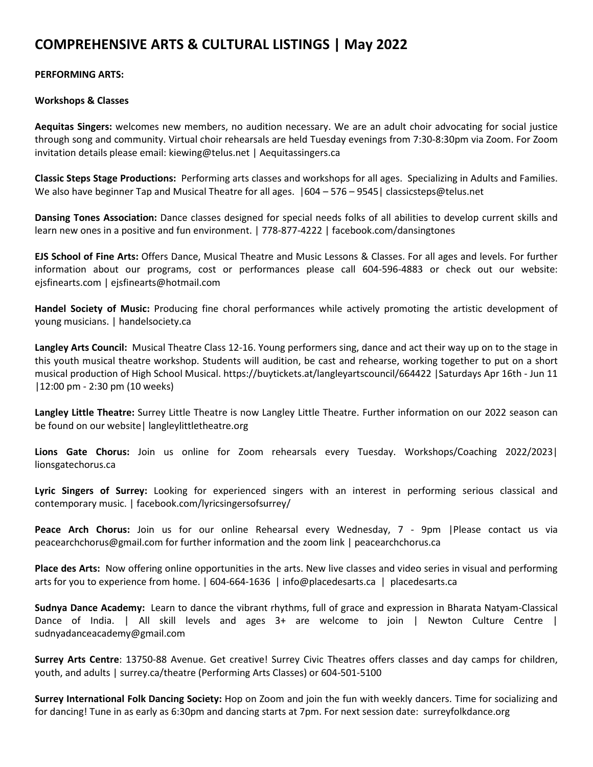# **COMPREHENSIVE ARTS & CULTURAL LISTINGS | May 2022**

## **PERFORMING ARTS:**

#### **Workshops & Classes**

**Aequitas Singers:** welcomes new members, no audition necessary. We are an adult choir advocating for social justice through song and community. Virtual choir rehearsals are held Tuesday evenings from 7:30-8:30pm via Zoom. For Zoom invitation details please email: kiewing@telus.net | Aequitassingers.ca

**Classic Steps Stage Productions:** Performing arts classes and workshops for all ages. Specializing in Adults and Families. We also have beginner Tap and Musical Theatre for all ages.  $|604 - 576 - 9545|$  classicsteps@telus.net

**Dansing Tones Association:** Dance classes designed for special needs folks of all abilities to develop current skills and learn new ones in a positive and fun environment. | 778-877-4222 | facebook.com/dansingtones

**EJS School of Fine Arts:** Offers Dance, Musical Theatre and Music Lessons & Classes. For all ages and levels. For further information about our programs, cost or performances please call 604-596-4883 or check out our website: ejsfinearts.com | ejsfinearts@hotmail.com

**Handel Society of Music:** Producing fine choral performances while actively promoting the artistic development of young musicians. | handelsociety.ca

**Langley Arts Council:** Musical Theatre Class 12-16. Young performers sing, dance and act their way up on to the stage in this youth musical theatre workshop. Students will audition, be cast and rehearse, working together to put on a short musical production of High School Musical. https://buytickets.at/langleyartscouncil/664422 |Saturdays Apr 16th - Jun 11 |12:00 pm - 2:30 pm (10 weeks)

**Langley Little Theatre:** Surrey Little Theatre is now Langley Little Theatre. Further information on our 2022 season can be found on our website| langleylittletheatre.org

**Lions Gate Chorus:** Join us online for Zoom rehearsals every Tuesday. Workshops/Coaching 2022/2023| lionsgatechorus.ca

**Lyric Singers of Surrey:** Looking for experienced singers with an interest in performing serious classical and contemporary music. | facebook.com/lyricsingersofsurrey/

**Peace Arch Chorus:** Join us for our online Rehearsal every Wednesday, 7 - 9pm |Please contact us via peacearchchorus@gmail.com for further information and the zoom link | peacearchchorus.ca

**Place des Arts:** Now offering online opportunities in the arts. New live classes and video series in visual and performing arts for you to experience from home. | 604-664-1636 | info@placedesarts.ca | placedesarts.ca

**Sudnya Dance Academy:** Learn to dance the vibrant rhythms, full of grace and expression in Bharata Natyam-Classical Dance of India. | All skill levels and ages 3+ are welcome to join | Newton Culture Centre | sudnyadanceacademy@gmail.com

**Surrey Arts Centre**: 13750-88 Avenue. Get creative! Surrey Civic Theatres offers classes and day camps for children, youth, and adults | surrey.ca/theatre (Performing Arts Classes) or 604-501-5100

**Surrey International Folk Dancing Society:** Hop on Zoom and join the fun with weekly dancers. Time for socializing and for dancing! Tune in as early as 6:30pm and dancing starts at 7pm. For next session date: surreyfolkdance.org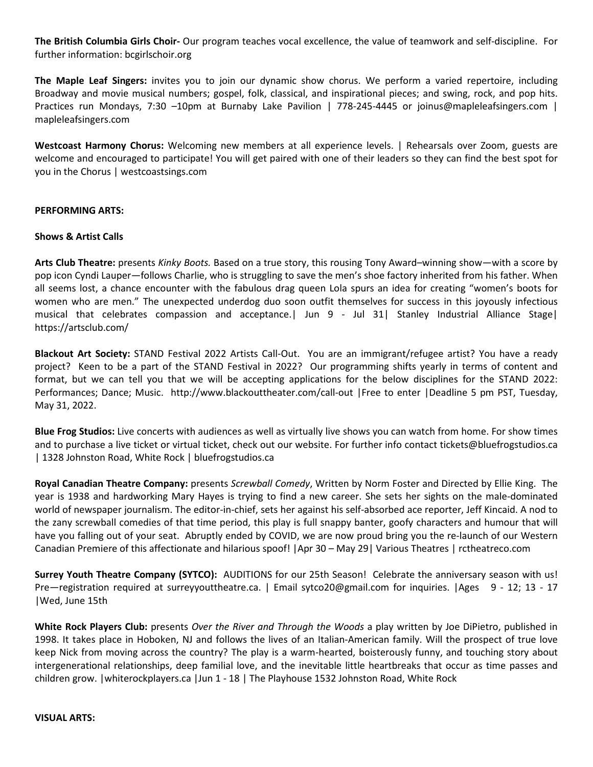**The British Columbia Girls Choir-** Our program teaches vocal excellence, the value of teamwork and self-discipline. For further information: bcgirlschoir.org

**The Maple Leaf Singers:** invites you to join our dynamic show chorus. We perform a varied repertoire, including Broadway and movie musical numbers; gospel, folk, classical, and inspirational pieces; and swing, rock, and pop hits. Practices run Mondays, 7:30 –10pm at Burnaby Lake Pavilion | 778-245-4445 or joinus@mapleleafsingers.com | mapleleafsingers.com

**Westcoast Harmony Chorus:** Welcoming new members at all experience levels. | Rehearsals over Zoom, guests are welcome and encouraged to participate! You will get paired with one of their leaders so they can find the best spot for you in the Chorus | westcoastsings.com

#### **PERFORMING ARTS:**

#### **Shows & Artist Calls**

**Arts Club Theatre:** presents *Kinky Boots.* Based on a true story, this rousing Tony Award–winning show—with a score by pop icon Cyndi Lauper—follows Charlie, who is struggling to save the men's shoe factory inherited from his father. When all seems lost, a chance encounter with the fabulous drag queen Lola spurs an idea for creating "women's boots for women who are men." The unexpected underdog duo soon outfit themselves for success in this joyously infectious musical that celebrates compassion and acceptance.| Jun 9 - Jul 31| Stanley Industrial Alliance Stage| https://artsclub.com/

**Blackout Art Society:** STAND Festival 2022 Artists Call-Out. You are an immigrant/refugee artist? You have a ready project? Keen to be a part of the STAND Festival in 2022? Our programming shifts yearly in terms of content and format, but we can tell you that we will be accepting applications for the below disciplines for the STAND 2022: Performances; Dance; Music. http://www.blackouttheater.com/call-out |Free to enter |Deadline 5 pm PST, Tuesday, May 31, 2022.

**Blue Frog Studios:** Live concerts with audiences as well as virtually live shows you can watch from home. For show times and to purchase a live ticket or virtual ticket, check out our website. For further info contact tickets@bluefrogstudios.ca | 1328 Johnston Road, White Rock | bluefrogstudios.ca

**Royal Canadian Theatre Company:** presents *Screwball Comedy*, Written by Norm Foster and Directed by Ellie King. The year is 1938 and hardworking Mary Hayes is trying to find a new career. She sets her sights on the male-dominated world of newspaper journalism. The editor-in-chief, sets her against his self-absorbed ace reporter, Jeff Kincaid. A nod to the zany screwball comedies of that time period, this play is full snappy banter, goofy characters and humour that will have you falling out of your seat. Abruptly ended by COVID, we are now proud bring you the re-launch of our Western Canadian Premiere of this affectionate and hilarious spoof! |Apr 30 – May 29| Various Theatres | rctheatreco.com

**Surrey Youth Theatre Company (SYTCO):** AUDITIONS for our 25th Season! Celebrate the anniversary season with us! Pre—registration required at surreyyouttheatre.ca. | Email sytco20@gmail.com for inquiries. |Ages 9 - 12; 13 - 17 |Wed, June 15th

**White Rock Players Club:** presents *Over the River and Through the Woods* a play written by Joe DiPietro, published in 1998. It takes place in Hoboken, NJ and follows the lives of an Italian-American family. Will the prospect of true love keep Nick from moving across the country? The play is a warm-hearted, boisterously funny, and touching story about intergenerational relationships, deep familial love, and the inevitable little heartbreaks that occur as time passes and children grow. |whiterockplayers.ca |Jun 1 - 18 | The Playhouse 1532 Johnston Road, White Rock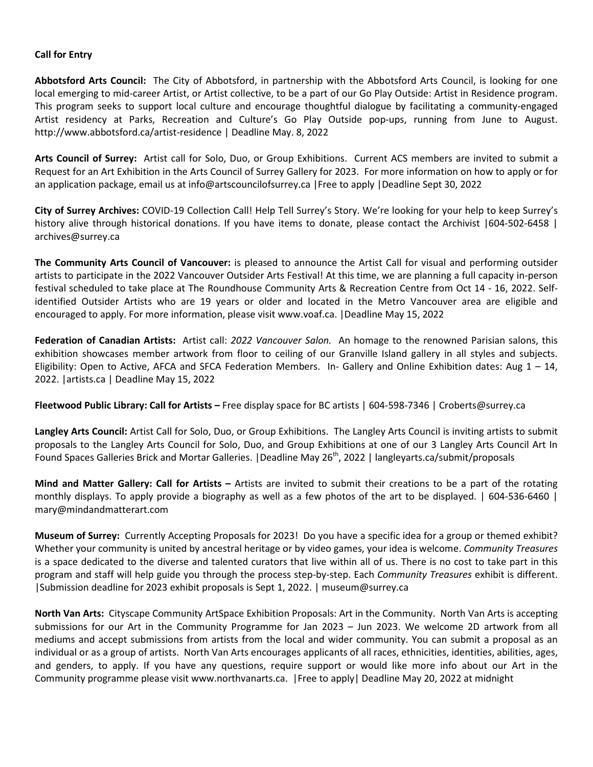#### **Call for Entry**

**Abbotsford Arts Council:** The City of Abbotsford, in partnership with the Abbotsford Arts Council, is looking for one local emerging to mid-career Artist, or Artist collective, to be a part of our Go Play Outside: Artist in Residence program. This program seeks to support local culture and encourage thoughtful dialogue by facilitating a community-engaged Artist residency at Parks, Recreation and Culture's Go Play Outside pop-ups, running from June to August. http://www.abbotsford.ca/artist-residence | Deadline May. 8, 2022

**Arts Council of Surrey:** Artist call for Solo, Duo, or Group Exhibitions. Current ACS members are invited to submit a Request for an Art Exhibition in the Arts Council of Surrey Gallery for 2023. For more information on how to apply or for an application package, email us at info@artscouncilofsurrey.ca |Free to apply |Deadline Sept 30, 2022

**City of Surrey Archives:** COVID-19 Collection Call! Help Tell Surrey's Story. We're looking for your help to keep Surrey's history alive through historical donations. If you have items to donate, please contact the Archivist |604-502-6458 | archives@surrey.ca

**The Community Arts Council of Vancouver:** is pleased to announce the Artist Call for visual and performing outsider artists to participate in the 2022 Vancouver Outsider Arts Festival! At this time, we are planning a full capacity in-person festival scheduled to take place at The Roundhouse Community Arts & Recreation Centre from Oct 14 - 16, 2022. Selfidentified Outsider Artists who are 19 years or older and located in the Metro Vancouver area are eligible and encouraged to apply. For more information, please visit www.voaf.ca. |Deadline May 15, 2022

**Federation of Canadian Artists:** Artist call: *2022 Vancouver Salon.* An homage to the renowned Parisian salons, this exhibition showcases member artwork from floor to ceiling of our Granville Island gallery in all styles and subjects. Eligibility: Open to Active, AFCA and SFCA Federation Members. In- Gallery and Online Exhibition dates: Aug  $1 - 14$ , 2022. |artists.ca | Deadline May 15, 2022

**Fleetwood Public Library: Call for Artists –** Free display space for BC artists | 604-598-7346 | Croberts@surrey.ca

**Langley Arts Council:** Artist Call for Solo, Duo, or Group Exhibitions. The Langley Arts Council is inviting artists to submit proposals to the Langley Arts Council for Solo, Duo, and Group Exhibitions at one of our 3 Langley Arts Council Art In Found Spaces Galleries Brick and Mortar Galleries. | Deadline May 26<sup>th</sup>, 2022 | langleyarts.ca/submit/proposals

**Mind and Matter Gallery: Call for Artists –** Artists are invited to submit their creations to be a part of the rotating monthly displays. To apply provide a biography as well as a few photos of the art to be displayed. | 604-536-6460 | mary@mindandmatterart.com

**Museum of Surrey:** Currently Accepting Proposals for 2023! Do you have a specific idea for a group or themed exhibit? Whether your community is united by ancestral heritage or by video games, your idea is welcome. *Community Treasures* is a space dedicated to the diverse and talented curators that live within all of us. There is no cost to take part in this program and staff will help guide you through the process step-by-step. Each *Community Treasures* exhibit is different. |Submission deadline for 2023 exhibit proposals is Sept 1, 2022. | museum@surrey.ca

**North Van Arts:** Cityscape Community ArtSpace Exhibition Proposals: Art in the Community. North Van Arts is accepting submissions for our Art in the Community Programme for Jan 2023 – Jun 2023. We welcome 2D artwork from all mediums and accept submissions from artists from the local and wider community. You can submit a proposal as an individual or as a group of artists. North Van Arts encourages applicants of all races, ethnicities, identities, abilities, ages, and genders, to apply. If you have any questions, require support or would like more info about our Art in the Community programme please visit www.northvanarts.ca. |Free to apply| Deadline May 20, 2022 at midnight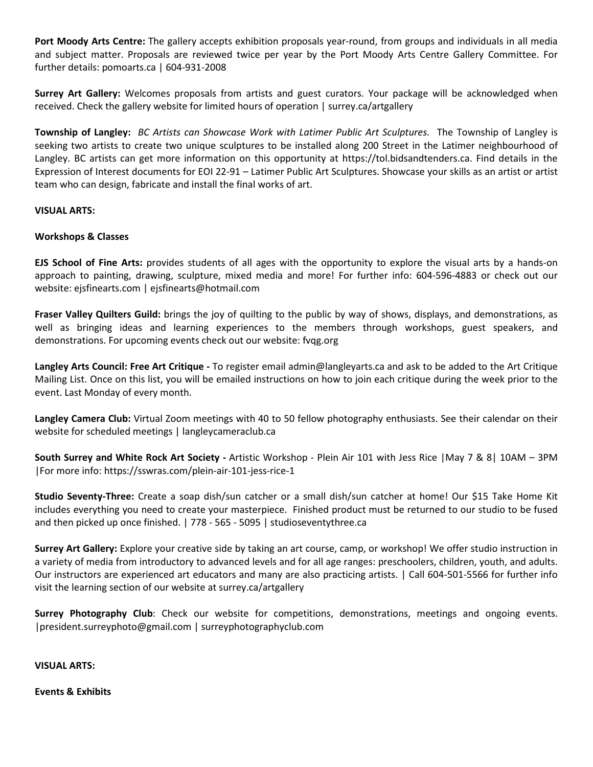**Port Moody Arts Centre:** The gallery accepts exhibition proposals year-round, from groups and individuals in all media and subject matter. Proposals are reviewed twice per year by the Port Moody Arts Centre Gallery Committee. For further details: pomoarts.ca | 604-931-2008

**Surrey Art Gallery:** Welcomes proposals from artists and guest curators. Your package will be acknowledged when received. Check the gallery website for limited hours of operation | surrey.ca/artgallery

**Township of Langley:** *BC Artists can Showcase Work with Latimer Public Art Sculptures.* The Township of Langley is seeking two artists to create two unique sculptures to be installed along 200 Street in the Latimer neighbourhood of Langley. BC artists can get more information on this opportunity at https://tol.bidsandtenders.ca. Find details in the Expression of Interest documents for EOI 22-91 – Latimer Public Art Sculptures. Showcase your skills as an artist or artist team who can design, fabricate and install the final works of art.

#### **VISUAL ARTS:**

#### **Workshops & Classes**

**EJS School of Fine Arts:** provides students of all ages with the opportunity to explore the visual arts by a hands-on approach to painting, drawing, sculpture, mixed media and more! For further info: 604-596-4883 or check out our website: ejsfinearts.com | ejsfinearts@hotmail.com

**Fraser Valley Quilters Guild:** brings the joy of quilting to the public by way of shows, displays, and demonstrations, as well as bringing ideas and learning experiences to the members through workshops, guest speakers, and demonstrations. For upcoming events check out our website: fvqg.org

**Langley Arts Council: Free Art Critique -** To register email admin@langleyarts.ca and ask to be added to the Art Critique Mailing List. Once on this list, you will be emailed instructions on how to join each critique during the week prior to the event. Last Monday of every month.

**Langley Camera Club:** Virtual Zoom meetings with 40 to 50 fellow photography enthusiasts. See their calendar on their website for scheduled meetings | langleycameraclub.ca

**South Surrey and White Rock Art Society -** Artistic Workshop - Plein Air 101 with Jess Rice |May 7 & 8| 10AM – 3PM |For more info: https://sswras.com/plein-air-101-jess-rice-1

**Studio Seventy-Three:** Create a soap dish/sun catcher or a small dish/sun catcher at home! Our \$15 Take Home Kit includes everything you need to create your masterpiece. Finished product must be returned to our studio to be fused and then picked up once finished. | 778 - 565 - 5095 | studioseventythree.ca

**Surrey Art Gallery:** Explore your creative side by taking an art course, camp, or workshop! We offer studio instruction in a variety of media from introductory to advanced levels and for all age ranges: preschoolers, children, youth, and adults. Our instructors are experienced art educators and many are also practicing artists. | Call 604-501-5566 for further info visit the learning section of our website at surrey.ca/artgallery

**Surrey Photography Club**: Check our website for competitions, demonstrations, meetings and ongoing events. |president.surreyphoto@gmail.com | surreyphotographyclub.com

**VISUAL ARTS:** 

**Events & Exhibits**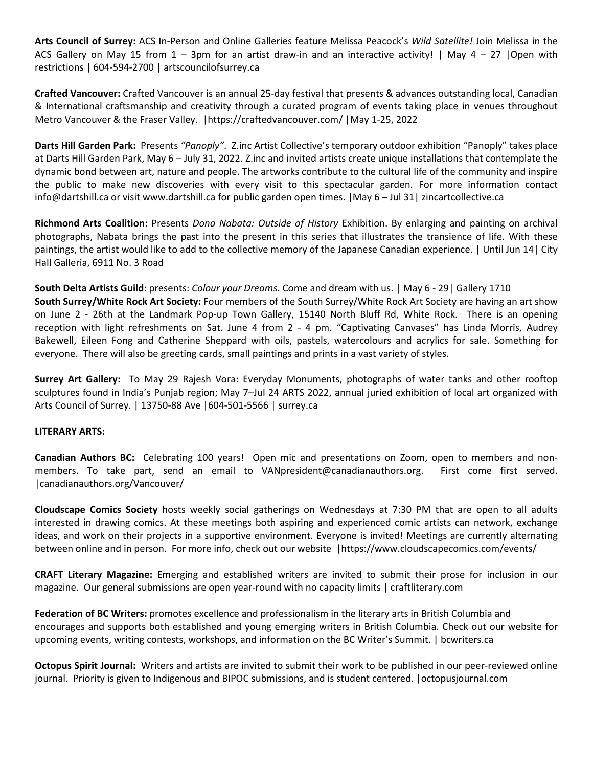**Arts Council of Surrey:** ACS In-Person and Online Galleries feature Melissa Peacock's *Wild Satellite!* Join Melissa in the ACS Gallery on May 15 from  $1 - 3$ pm for an artist draw-in and an interactive activity! | May  $4 - 27$  |Open with restrictions | 604-594-2700 | artscouncilofsurrey.ca

**Crafted Vancouver:** Crafted Vancouver is an annual 25-day festival that presents & advances outstanding local, Canadian & International craftsmanship and creativity through a curated program of events taking place in venues throughout Metro Vancouver & the Fraser Valley. |https://craftedvancouver.com/ |May 1-25, 2022

**Darts Hill Garden Park:** Presents *"Panoply"*. Z.inc Artist Collective's temporary outdoor exhibition "Panoply" takes place at Darts Hill Garden Park, May 6 – July 31, 2022. Z.inc and invited artists create unique installations that contemplate the dynamic bond between art, nature and people. The artworks contribute to the cultural life of the community and inspire the public to make new discoveries with every visit to this spectacular garden. For more information contact info@dartshill.ca or visit www.dartshill.ca for public garden open times. |May 6 – Jul 31| zincartcollective.ca

**Richmond Arts Coalition:** Presents *Dona Nabata: Outside of History* Exhibition. By enlarging and painting on archival photographs, Nabata brings the past into the present in this series that illustrates the transience of life. With these paintings, the artist would like to add to the collective memory of the Japanese Canadian experience. | Until Jun 14| City Hall Galleria, 6911 No. 3 Road

**South Delta Artists Guild**: presents: *Colour your Dreams*. Come and dream with us. | May 6 - 29| Gallery 1710 **South Surrey/White Rock Art Society:** Four members of the South Surrey/White Rock Art Society are having an art show on June 2 - 26th at the Landmark Pop-up Town Gallery, 15140 North Bluff Rd, White Rock. There is an opening reception with light refreshments on Sat. June 4 from 2 - 4 pm. "Captivating Canvases" has Linda Morris, Audrey Bakewell, Eileen Fong and Catherine Sheppard with oils, pastels, watercolours and acrylics for sale. Something for everyone. There will also be greeting cards, small paintings and prints in a vast variety of styles.

**Surrey Art Gallery:** To May 29 Rajesh Vora: Everyday Monuments, photographs of water tanks and other rooftop sculptures found in India's Punjab region; May 7–Jul 24 ARTS 2022, annual juried exhibition of local art organized with Arts Council of Surrey. | 13750-88 Ave |604-501-5566 | surrey.ca

## **LITERARY ARTS:**

**Canadian Authors BC:** Celebrating 100 years! Open mic and presentations on Zoom, open to members and nonmembers. To take part, send an email to VANpresident@canadianauthors.org. First come first served. |canadianauthors.org/Vancouver/

**Cloudscape Comics Society** hosts weekly social gatherings on Wednesdays at 7:30 PM that are open to all adults interested in drawing comics. At these meetings both aspiring and experienced comic artists can network, exchange ideas, and work on their projects in a supportive environment. Everyone is invited! Meetings are currently alternating between online and in person. For more info, check out our website |https://www.cloudscapecomics.com/events/

**CRAFT Literary Magazine:** Emerging and established writers are invited to submit their prose for inclusion in our magazine. Our general submissions are open year-round with no capacity limits | craftliterary.com

**Federation of BC Writers:** promotes excellence and professionalism in the literary arts in British Columbia and encourages and supports both established and young emerging writers in British Columbia. Check out our website for upcoming events, writing contests, workshops, and information on the BC Writer's Summit. | bcwriters.ca

**Octopus Spirit Journal:** Writers and artists are invited to submit their work to be published in our peer-reviewed online journal. Priority is given to Indigenous and BIPOC submissions, and is student centered. |octopusjournal.com